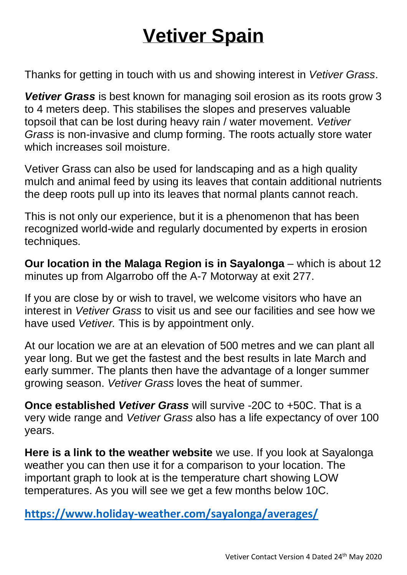## **Vetiver Spain**

Thanks for getting in touch with us and showing interest in *Vetiver Grass*.

*Vetiver Grass* is best known for managing soil erosion as its roots grow 3 to 4 meters deep. This stabilises the slopes and preserves valuable topsoil that can be lost during heavy rain / water movement. *Vetiver Grass* is non-invasive and clump forming. The roots actually store water which increases soil moisture.

Vetiver Grass can also be used for landscaping and as a high quality mulch and animal feed by using its leaves that contain additional nutrients the deep roots pull up into its leaves that normal plants cannot reach.

This is not only our experience, but it is a phenomenon that has been recognized world-wide and regularly documented by experts in erosion techniques.

**Our location in the Malaga Region is in Sayalonga** – which is about 12 minutes up from Algarrobo off the A-7 Motorway at exit 277.

If you are close by or wish to travel, we welcome visitors who have an interest in *Vetiver Grass* to visit us and see our facilities and see how we have used *Vetiver.* This is by appointment only.

At our location we are at an elevation of 500 metres and we can plant all year long. But we get the fastest and the best results in late March and early summer. The plants then have the advantage of a longer summer growing season. *Vetiver Grass* loves the heat of summer.

**Once established** *Vetiver Grass* will survive -20C to +50C. That is a very wide range and *Vetiver Grass* also has a life expectancy of over 100 years.

**Here is a link to the weather website** we use. If you look at Sayalonga weather you can then use it for a comparison to your location. The important graph to look at is the temperature chart showing LOW temperatures. As you will see we get a few months below 10C.

**<https://www.holiday-weather.com/sayalonga/averages/>**